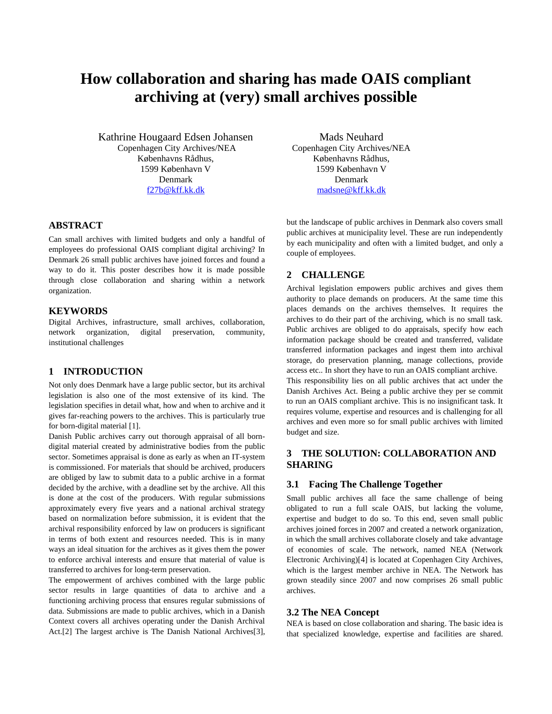# **How collaboration and sharing has made OAIS compliant archiving at (very) small archives possible**

Kathrine Hougaard Edsen Johansen Copenhagen City Archives/NEA Københavns Rådhus, 1599 København V Denmark [f27b@kff.kk.dk](mailto:f27b@kff.kk.dk)

# **ABSTRACT**

Can small archives with limited budgets and only a handful of employees do professional OAIS compliant digital archiving? In Denmark 26 small public archives have joined forces and found a way to do it. This poster describes how it is made possible through close collaboration and sharing within a network organization.

#### **KEYWORDS**

Digital Archives, infrastructure, small archives, collaboration, network organization, digital preservation, community, institutional challenges

### **1 INTRODUCTION**

Not only does Denmark have a large public sector, but its archival legislation is also one of the most extensive of its kind. The legislation specifies in detail what, how and when to archive and it gives far-reaching powers to the archives. This is particularly true for born-digital material [1].

Danish Public archives carry out thorough appraisal of all borndigital material created by administrative bodies from the public sector. Sometimes appraisal is done as early as when an IT-system is commissioned. For materials that should be archived, producers are obliged by law to submit data to a public archive in a format decided by the archive, with a deadline set by the archive. All this is done at the cost of the producers. With regular submissions approximately every five years and a national archival strategy based on normalization before submission, it is evident that the archival responsibility enforced by law on producers is significant in terms of both extent and resources needed. This is in many ways an ideal situation for the archives as it gives them the power to enforce archival interests and ensure that material of value is transferred to archives for long-term preservation.

The empowerment of archives combined with the large public sector results in large quantities of data to archive and a functioning archiving process that ensures regular submissions of data. Submissions are made to public archives, which in a Danish Context covers all archives operating under the Danish Archival Act.[2] The largest archive is The Danish National Archives[3],

Mads Neuhard Copenhagen City Archives/NEA Københavns Rådhus, 1599 København V Denmark [madsne@kff.kk.dk](mailto:madsne@kff.kk.dk) 

but the landscape of public archives in Denmark also covers small public archives at municipality level. These are run independently by each municipality and often with a limited budget, and only a couple of employees.

## **2 CHALLENGE**

Archival legislation empowers public archives and gives them authority to place demands on producers. At the same time this places demands on the archives themselves. It requires the archives to do their part of the archiving, which is no small task. Public archives are obliged to do appraisals, specify how each information package should be created and transferred, validate transferred information packages and ingest them into archival storage, do preservation planning, manage collections, provide access etc.. In short they have to run an OAIS compliant archive.

This responsibility lies on all public archives that act under the Danish Archives Act. Being a public archive they per se commit to run an OAIS compliant archive. This is no insignificant task. It requires volume, expertise and resources and is challenging for all archives and even more so for small public archives with limited budget and size.

# **3 THE SOLUTION: COLLABORATION AND SHARING**

## **3.1 Facing The Challenge Together**

Small public archives all face the same challenge of being obligated to run a full scale OAIS, but lacking the volume, expertise and budget to do so. To this end, seven small public archives joined forces in 2007 and created a network organization, in which the small archives collaborate closely and take advantage of economies of scale. The network, named NEA (Network Electronic Archiving)[4] is located at Copenhagen City Archives, which is the largest member archive in NEA. The Network has grown steadily since 2007 and now comprises 26 small public archives.

#### **3.2 The NEA Concept**

NEA is based on close collaboration and sharing. The basic idea is that specialized knowledge, expertise and facilities are shared.